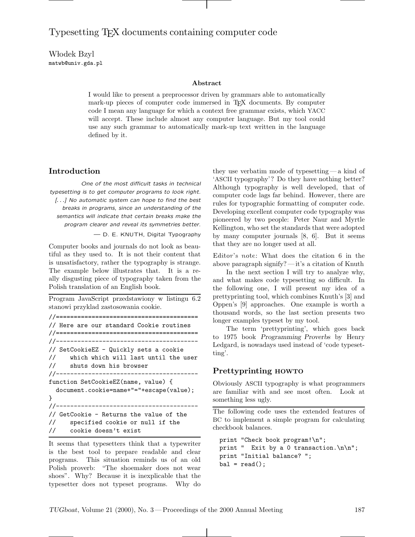# Typesetting TEX documents containing computer code

Włodek Bzyl matwb@univ.gda.pl

#### **Abstract**

I would like to present a preprocessor driven by grammars able to automatically mark-up pieces of computer code immersed in TEX documents. By computer code I mean any language for which a context free grammar exists, which YACC will accept. These include almost any computer language. But my tool could use any such grammar to automatically mark-up text written in the language defined by it.

# **Introduction**

One of the most difficult tasks in technical typesetting is to get computer programs to look right. [*...*] No automatic system can hope to find the best breaks in programs, since an understanding of the semantics will indicate that certain breaks make the program clearer and reveal its symmetries better.

— D. E. KNUTH, Digital Typography

Computer books and journals do not look as beautiful as they used to. It is not their content that is unsatisfactory, rather the typography is strange. The example below illustrates that. It is a really disgusting piece of typography taken from the Polish translation of an English book.

Program JavaScript przedstawiony w listingu 6.2 stanowi przyklad zastosowania cookie.

```
//========================================
// Here are our standard Cookie routines
//========================================
//----------------------------------------
// SetCookieEZ - Quickly sets a cookie
// which which will last until the user
// shuts down his browser
//----------------------------------------
function SetCookieEZ(name, value) {
 document.cookie=name+"="+escape(value);
}
//----------------------------------------
// GetCookie - Returns the value of the
// specified cookie or null if the
// cookie doesn't exist
```
It seems that typesetters think that a typewriter is the best tool to prepare readable and clear programs. This situation reminds us of an old Polish proverb: "The shoemaker does not wear shoes". Why? Because it is inexplicable that the typesetter does not typeset programs. Why do they use verbatim mode of typesetting — a kind of 'ASCII typography'? Do they have nothing better? Although typography is well developed, that of computer code lags far behind. However, there are rules for typographic formatting of computer code. Developing excellent computer code typography was pioneered by two people: Peter Naur and Myrtle Kellington, who set the standards that were adopted by many computer journals [8, 6]. But it seems that they are no longer used at all.

Editor's note: What does the citation 6 in the above paragraph signify?— it's a citation of Knuth

In the next section I will try to analyze why, and what makes code typesetting so difficult. In the following one, I will present my idea of a prettyprinting tool, which combines Knuth's [3] and Oppen's [9] approaches. One example is worth a thousand words, so the last section presents two longer examples typeset by my tool.

The term 'prettyprinting', which goes back to 1975 book *Programming Proverbs* by Henry Ledgard, is nowadays used instead of 'code typesetting'.

## **Prettyprinting HOWTO**

Obviously ASCII typography is what programmers are familiar with and see most often. Look at something less ugly.

The following code uses the extended features of BC to implement a simple program for calculating checkbook balances.

```
print "Check book program!\n";
print " Exit by a 0 transaction.\n\n";
print "Initial balance? ";
bal = read();
```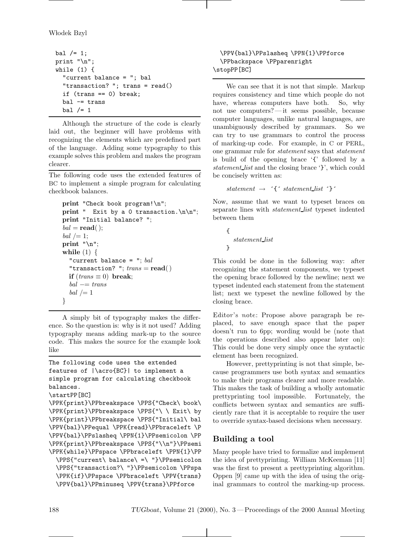```
bal /= 1;
print "\n";
while (1) {
  "current balance = "; bal
  "transaction? "; trans = read()
  if (trans == 0) break;
  bal -= trans
  bal /= 1
```
Although the structure of the code is clearly laid out, the beginner will have problems with recognizing the elements which are predefined part of the language. Adding some typography to this example solves this problem and makes the program clearer.

The following code uses the extended features of BC to implement a simple program for calculating checkbook balances.

```
print "Check book program!\n";
print " Exit by a 0 transaction. \n\n";
print "Initial balance? ";
bal = read();
bal /=1;
print "\n";
while (1) {
  "current balance = "; bal
  "transaction? "; trans = read()if (trans \equiv 0) break;
  bal −= trans
  bal /= 1
}
```
A simply bit of typography makes the difference. So the question is: why is it not used? Adding typography means adding mark-up to the source code. This makes the source for the example look like

```
The following code uses the extended
features of |\acro{BC}| to implement a
simple program for calculating checkbook
balances.
\startPP[BC]
\PPK{print}\PPbreakspace \PPS{"Check\ book\
\PPK{print}\PPbreakspace \PPS{"\ \ Exit\ by
\PPK{print}\PPbreakspace \PPS{"Initial\ bal
\PPV{bal}\PPequal \PPK{read}\PPbraceleft \P
\PPV{bal}\PPslasheq \PPN{1}\PPsemicolon \PP
\PPK{print}\PPbreakspace \PPS{"\\n"}\PPsemi
\PPK{while}\PPspace \PPbraceleft \PPN{1}\PP
  \PPS{"current\ balance\ =\ "}\PPsemicolon
  \PPS{"transaction?\ "}\PPsemicolon \PPspa
  \PPK{if}\PPspace \PPbraceleft \PPV{trans}
  \PPV{bal}\PPminuseq \PPV{trans}\PPforce
```

```
\PPV{bal}\PPslasheq \PPN{1}\PPforce
 \PPbackspace \PPparenright
\stopPP[BC]
```
We can see that it is not that simple. Markup requires consistency and time which people do not have, whereas computers have both. So, why not use computers?— it seems possible, because computer languages, unlike natural languages, are unambiguously described by grammars. So we can try to use grammars to control the process of marking-up code. For example, in C or PERL, one grammar rule for *statement* says that *statement* is build of the opening brace '{' followed by a *statement list* and the closing brace '}', which could be concisely written as:

*statement*  $\rightarrow$   $\hat{i}$  *statement list*  $\hat{j}$ 

Now, assume that we want to typeset braces on separate lines with *statement list* typeset indented between them

$$
\{\atop{statement\_list}
$$

This could be done in the following way: after recognizing the statement components, we typeset the opening brace followed by the newline; next we typeset indented each statement from the statement list; next we typeset the newline followed by the closing brace.

Editor's note: Propose above paragraph be replaced, to save enough space that the paper doesn't run to 6pp; wording would be (note that the operations described also appear later on): This could be done very simply once the syntactic element has been recognized.

However, prettyprinting is not that simple, because programmers use both syntax and semantics to make their programs clearer and more readable. This makes the task of building a wholly automatic prettyprinting tool impossible. Fortunately, the conflicts between syntax and semantics are sufficiently rare that it is acceptable to require the user to override syntax-based decisions when necessary.

# **Building a tool**

Many people have tried to formalize and implement the idea of prettyprinting. William McKeeman [11] was the first to present a prettyprinting algorithm. Oppen [9] came up with the idea of using the original grammars to control the marking-up process.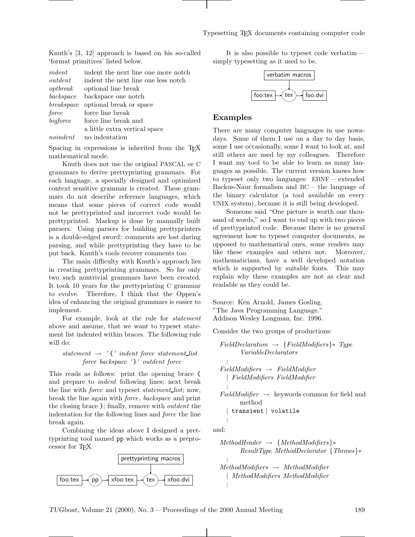Knuth's [3, 12] approach is based on his so-called 'format primitives' listed below.

| indent     | indent the next line one more notch |
|------------|-------------------------------------|
| outdent    | indent the next line one less notch |
| optbreak   | optional line break                 |
| backspace  | backspace one notch                 |
| breakspace | optional break or space             |
| force      | force line break                    |
| bigforce   | force line break and                |
|            | a little extra vertical space       |
| noindent   | no indentation                      |
|            |                                     |

Spacing in expressions is inherited from the T<sub>E</sub>X mathematical mode.

Knuth does not use the original PASCAL or C grammars to derive prettyprinting grammars. For each language, a specially designed and optimized context sensitive grammar is created. These grammars do not describe reference languages, which means that some pieces of correct code would not be prettyprinted and incorrect code would be prettyprinted. Markup is done by manually built parsers. Using parsers for building prettyprinters is a double-edged sword: comments are lost during parsing, and while prettyprinting they have to be put back. Knuth's tools recover comments too.

The main difficulty with Knuth's approach lies in creating prettyprinting grammars. So far only two such nontrivial grammars have been created. It took 10 years for the prettyprinting C grammar to evolve. Therefore, I think that the Oppen's idea of enhancing the original grammars is easier to implement.

For example, look at the rule for *statement* above and assume, that we want to typeset statement list indented within braces. The following rule will do:

## *statement* → ´{´ *indent force statement list force backspace* ´}´ *outdent force*

This reads as follows: print the opening brace { and prepare to *indent* following lines; next break the line with *force* and typeset *statement list*; now, break the line again with *force*, *backspace* and print the closing brace }; finally, remove with *outdent* the indentation for the following lines and *force* the line break again.

Combining the ideas above I designed a prettyprinting tool named pp which works as a preprocessor for TEX.



It is also possible to typeset code verbatim simply typesetting as it used to be.



### **Examples**

There are many computer languages in use nowadays. Some of them I use on a day to day basis, some I use occasionally, some I want to look at, and still others are used by my colleagues. Therefore I want my tool to be able to learn as many languages as possible. The current version knows how to typeset only two languages: EBNF — extended Backus-Naur formalism and BC — the language of the binary calculator (a tool available on every UNIX system), because it is still being developed.

Someone said "One picture is worth one thousand of words," so I want to end up with two pieces of prettyprinted code. Because there is no general agreement how to typeset computer documents, as opposed to mathematical ones, some readers may like these examples and others not. Moreover, mathematicians, have a well developed notation which is supported by suitable fonts. This may explain why these examples are not as clear and readable as they could be.

Source: Ken Arnold, James Gosling. "The Java Programming Language." Addison Wesley Longman, Inc. 1996.

Consider the two groups of productions:

$$
Field Declaration \rightarrow {FieldModifiers} * Type
$$
\n
$$
Variable Declarations
$$
\n
$$
;
$$
\n
$$
FieldModifiers \rightarrow FieldModifier
$$
\n
$$
| FieldModifiers FieldModifier
$$
\n
$$
;
$$
\n
$$
FieldModifier \rightarrow \text{ keywords common for field and method}
$$
\n
$$
| \text{ transient } | \text{ volatile}
$$
\n
$$
;
$$
\n
$$
Add: \text{WE} \rightarrow \text{EVALU} \cup \text{EVALU}
$$

*MethodHeader* → {*MethodModifiers*}∗ *ResultType MethodDeclarator* {*Throws*}∗ ; *MethodModifiers* → *MethodModifier* | *MethodModifiers MethodModifier* ;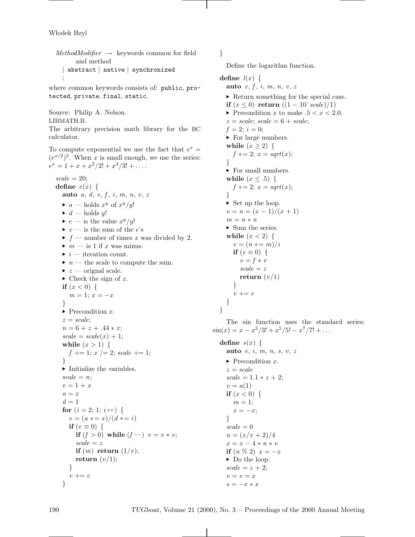Włodek Bzyl

```
MethodModifier \rightarrow keywords common for field
      and method
  | abstract | native | synchronized
  ;
```
where common keywords consists of: public, protected, private, final, static.

Source: Philip A. Nelson. LIBMATH.B.

The arbitrary precision math library for the BC calculator.

To compute exponential we use the fact that  $e^x =$  $(e^{x/2})^2$ . When *x* is small enough, we use the series:  $e^x = 1 + x + x^2/2! + x^3/3! + \ldots$ 

 $scale = 20;$ **define**  $e(x)$  { **auto** *a*, *d*, *e*, *f* , *i*, *m*, *n*, *v*, *z*  $\blacktriangleright$  *a* — holds  $x^y$  of  $x^y/y!$  $\blacktriangleright$  *d* — holds *y*!  $\blacktriangleright$  *e* — is the value  $x^y/y!$  $\blacktriangleright$  *v* — is the sum of the *e*'s  $\blacktriangleright$  *f* — number of times *x* was divided by 2.  $\blacktriangleright\,$   $m$  — is 1 if  $x$  was minus.  $\blacktriangleright$  *i* — iteration count.  $\blacktriangleright$  *n* — the scale to compute the sum.  $\blacktriangleright$  *z* — orignal scale.  $\blacktriangleright$  Check the sign of x. **if**  $(x < 0)$  {  $m = 1$ ;  $x = -x$ } ▶ Precondition *x*. *z* = *scale*;  $n = 6 + z + .44 * x;$  $scale = scale(x) + 1;$ **while**  $(x > 1)$  {  $f \neq 1$ ;  $x \neq 2$ ; *scale*  $\neq 1$ ; }  $\blacktriangleright$  Initialize the variables.  $scale = n$ ;  $v = 1 + x$  $a = x$  $d=1$ **for**  $(i = 2; 1; i++)$  {  $e = (a \cdot x) / (d \cdot x) = i$ **if**  $(e \equiv 0)$  { **if**  $(f > 0)$  while  $(f --)$   $v = v * v$ ; *scale* = *z* **if**  $(m)$  **return**  $(1/v)$ ; **return**  $(v/1)$ ; } *v* += *e* }

}

Define the logarithm function.

**define**  $l(x)$  { **auto** *e*, *f* , *i*, *m*, *n*, *v*, *z* ▶ Return something for the special case. **if**  $(x \le 0)$  **return**  $((1 - 10^{\circ} scale)/1)$  $\blacktriangleright$  Precondition *x* to make  $.5 < x < 2.0$ .  $z = scale$ ;  $scale = 6 + scale$ ;  $f = 2$ ;  $i = 0$ ; ▶ For large numbers. while  $(x \geq 2)$  {  $f * = 2; x = sqrt(x);$ }  $\blacktriangleright$  For small numbers. **while**  $(x \leq .5)$  {  $f * = 2; x = sqrt(x);$ }  $\triangleright$  Set up the loop.  $v = n = (x - 1)/(x + 1)$  $m = n * n$  $\blacktriangleright$  Sum the series. **while**  $(x < 2)$  {  $e = (n \cdot m)/i$ **if**  $(e \equiv 0)$  {  $v = f * v$ *scale* = *z* **return** (*v/*1) } *v* += *e* } }

The sin function uses the standard series:  $\sin(x) = x - x^3/3! + x^5/5! - x^7/7! + \dots$ 

**define**  $s(x)$  { **auto** *e*, *i*, *m*, *n*, *s*, *v*, *z* ▶ Precondition *x*. *z* = *scale*  $scale = 1.1 * z + 2;$  $v = a(1)$ **if**  $(x < 0)$  {  $m=1$ ;  $x = -x$ ; }  $scale = 0$  $n = (x/v + 2)/4$  $x = x - 4 * n * v$ **if**  $(n \% 2) x = -x$ ▶ Do the loop.  $scale = z + 2;$  $v = e = x$ *s* = −*x* ∗ *x*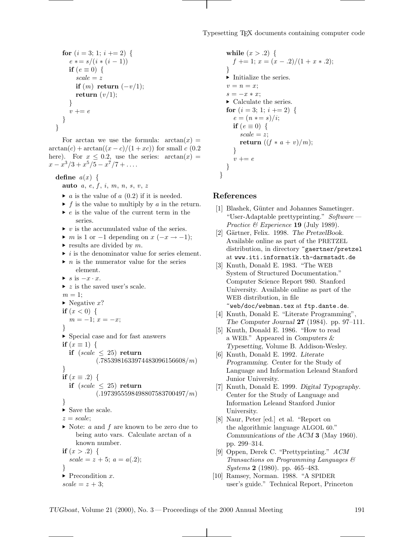for 
$$
(i = 3; 1; i += 2)
$$
 {  
\n $e * = s/(i * (i - 1))$   
\nif  $(e = 0)$  {  
\nscale = z  
\nif  $(m)$  return  $(-v/1)$ ;  
\nreturn  $(v/1)$ ;  
\n}  
\n $v += e$ 

For arctan we use the formula:  $arctan(x) =$  $\arctan(c) + \arctan((x-c)/(1+xc))$  for small *c* (0.2) here). For  $x \leq 0.2$ , use the series:  $arctan(x) =$  $x - x^3/3 + x^5/5 - x^7/7 + \ldots$ 

**define**  $a(x) \{$ 

- **auto** *a*, *e*, *f* , *i*, *m*, *n*, *s*, *v*, *z*
- $\blacktriangleright$  *a* is the value of *a* (0.2) if it is needed.
- $\blacktriangleright$  *f* is the value to multiply by *a* in the return.
- *► e* is the value of the current term in the series.
- $\triangleright$  *v* is the accumulated value of the series.
- $\blacktriangleright$  *m* is 1 or  $-1$  depending on  $x$  ( $-x \to -1$ );
- $\blacktriangleright$  results are divided by *m*.
- $\triangleright$  *i* is the denominator value for series element.
- $\blacktriangleright$  *n* is the numerator value for the series element.
- *s* is −*x* · *x*.

```
▶ z is the saved user's scale.
m=1;
► Negative x?
if (x < 0) \{m = -1; x = -x;
}
\blacktriangleright Special case and for fast answers
if (x \equiv 1) \{if (scale \leq 25) return
            (.7853981633974483096156608/m)
}
if (x \equiv .2) {
  if (scale \leq 25) return
            (.1973955598498807583700497/m)
}
\blacktriangleright Save the scale.
z = scale;
 Note: a and f are known to be zero due to
     being auto vars. Calculate arctan of a
     known number.
if (x > .2) \{scale = z + 5; a = a(.2);}
▶ Precondition x.
scale = z + 3;
```

```
while (x > .2) {
    f \neq 1; x = (x - .2)/(1 + x * .2);
  }
  \blacktriangleright Initialize the series.
  v = n = x;
  s = -x * x;► Calculate the series.
  for (i = 3; 1; i += 2) {
     e = (n \cdot s) / i;if (e \equiv 0) {
       scale = zreturn ((f * a + v)/m);}
     v \neq e}
}
```
### **References**

- [1] Blashek, Günter and Johannes Sametinger. "User-Adaptable prettyprinting." *Software — Practice & Experience* **19** (July 1989).
- [2] Gärtner, Felix. 1998. *The PretzelBook*. Available online as part of the PRETZEL distribution, in directory ~gaertner/pretzel at www.iti.informatik.th-darmstadt.de
- [3] Knuth, Donald E. 1983. "The WEB System of Structured Documentation." Computer Science Report 980. Stanford University. Available online as part of the WEB distribution, in file ~web/doc/webman.tex at ftp.dante.de.
- [4] Knuth, Donald E. "Literate Programming", *The Computer Journal* **<sup>27</sup>** (1984). pp. 97–111.
- [5] Knuth, Donald E. 1986. "How to read <sup>a</sup> WEB." Appeared in *Computers & Typesetting*, Volume B. Addison-Wesley.
- [6] Knuth, Donald E. 1992. *Literate Programming*. Center for the Study of Language and Information Leleand Stanford Junior University.
- [7] Knuth, Donald E. 1999. *Digital Typography*. Center for the Study of Language and Information Leleand Stanford Junior University.
- [8] Naur, Peter [ed.] et al. "Report on the algorithmic language ALGOL 60." *Communications of the ACM* **<sup>3</sup>** (May 1960). pp. 299–314.
- [9] Oppen, Derek C. "Prettyprinting." *ACM Transactions on Programming Languages & Systems* **2** (1980). pp. 465–483.
- [10] Ramsey, Norman. 1988. "A SPIDER user's guide." Technical Report, Princeton